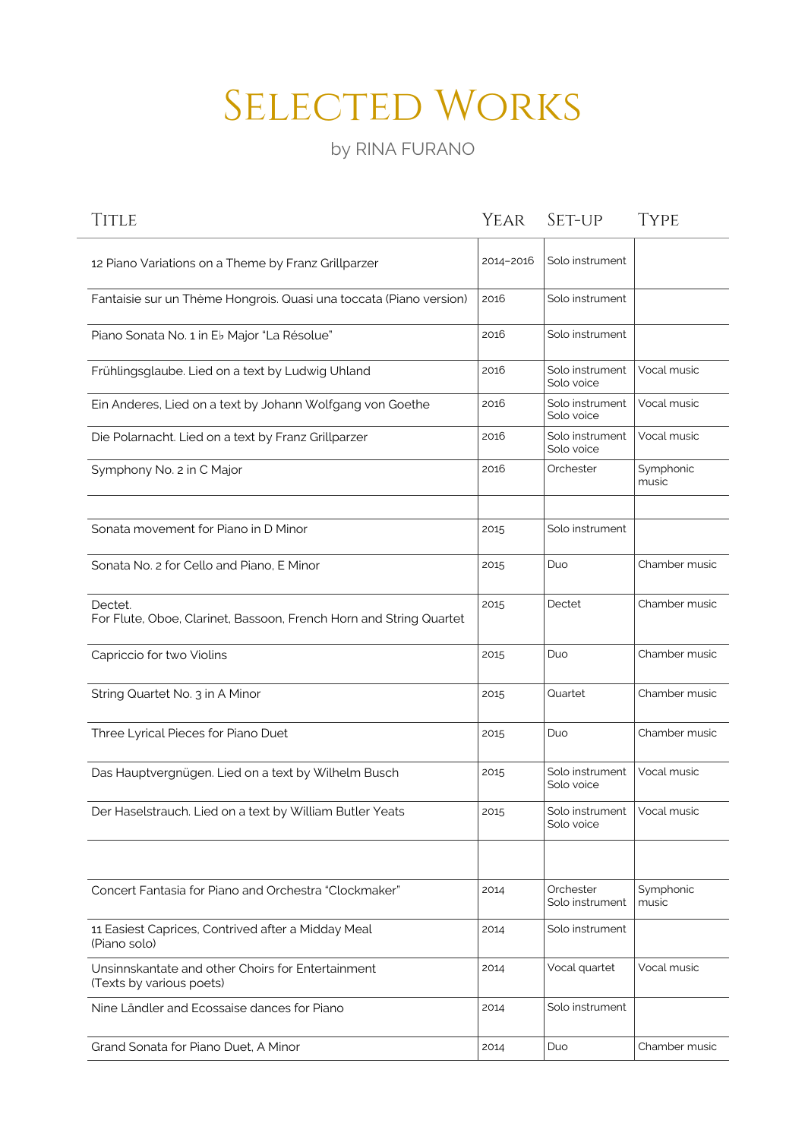## SELECTED WORKS

by RINA FURANO

| <b>TITLE</b>                                                                  | Year      | SET-UP                        | <b>TYPE</b>        |
|-------------------------------------------------------------------------------|-----------|-------------------------------|--------------------|
| 12 Piano Variations on a Theme by Franz Grillparzer                           | 2014-2016 | Solo instrument               |                    |
| Fantaisie sur un Thème Hongrois. Quasi una toccata (Piano version)            | 2016      | Solo instrument               |                    |
| Piano Sonata No. 1 in Eb Major "La Résolue"                                   | 2016      | Solo instrument               |                    |
| Frühlingsglaube. Lied on a text by Ludwig Uhland                              | 2016      | Solo instrument<br>Solo voice | Vocal music        |
| Ein Anderes, Lied on a text by Johann Wolfgang von Goethe                     | 2016      | Solo instrument<br>Solo voice | Vocal music        |
| Die Polarnacht. Lied on a text by Franz Grillparzer                           | 2016      | Solo instrument<br>Solo voice | Vocal music        |
| Symphony No. 2 in C Major                                                     | 2016      | Orchester                     | Symphonic<br>music |
| Sonata movement for Piano in D Minor                                          | 2015      | Solo instrument               |                    |
| Sonata No. 2 for Cello and Piano, E Minor                                     | 2015      | Duo                           | Chamber music      |
| Dectet.<br>For Flute, Oboe, Clarinet, Bassoon, French Horn and String Quartet | 2015      | Dectet                        | Chamber music      |
| Capriccio for two Violins                                                     | 2015      | Duo                           | Chamber music      |
| String Quartet No. 3 in A Minor                                               | 2015      | Quartet                       | Chamber music      |
| Three Lyrical Pieces for Piano Duet                                           | 2015      | Duo                           | Chamber music      |
| Das Hauptvergnügen. Lied on a text by Wilhelm Busch                           | 2015      | Solo instrument<br>Solo voice | Vocal music        |
| Der Haselstrauch. Lied on a text by William Butler Yeats                      | 2015      | Solo instrument<br>Solo voice | Vocal music        |
|                                                                               |           |                               |                    |
| Concert Fantasia for Piano and Orchestra "Clockmaker"                         | 2014      | Orchester<br>Solo instrument  | Symphonic<br>music |
| 11 Easiest Caprices, Contrived after a Midday Meal<br>(Piano solo)            | 2014      | Solo instrument               |                    |
| Unsinnskantate and other Choirs for Entertainment<br>(Texts by various poets) | 2014      | Vocal quartet                 | Vocal music        |
| Nine Ländler and Ecossaise dances for Piano                                   | 2014      | Solo instrument               |                    |
| Grand Sonata for Piano Duet, A Minor                                          | 2014      | Duo                           | Chamber music      |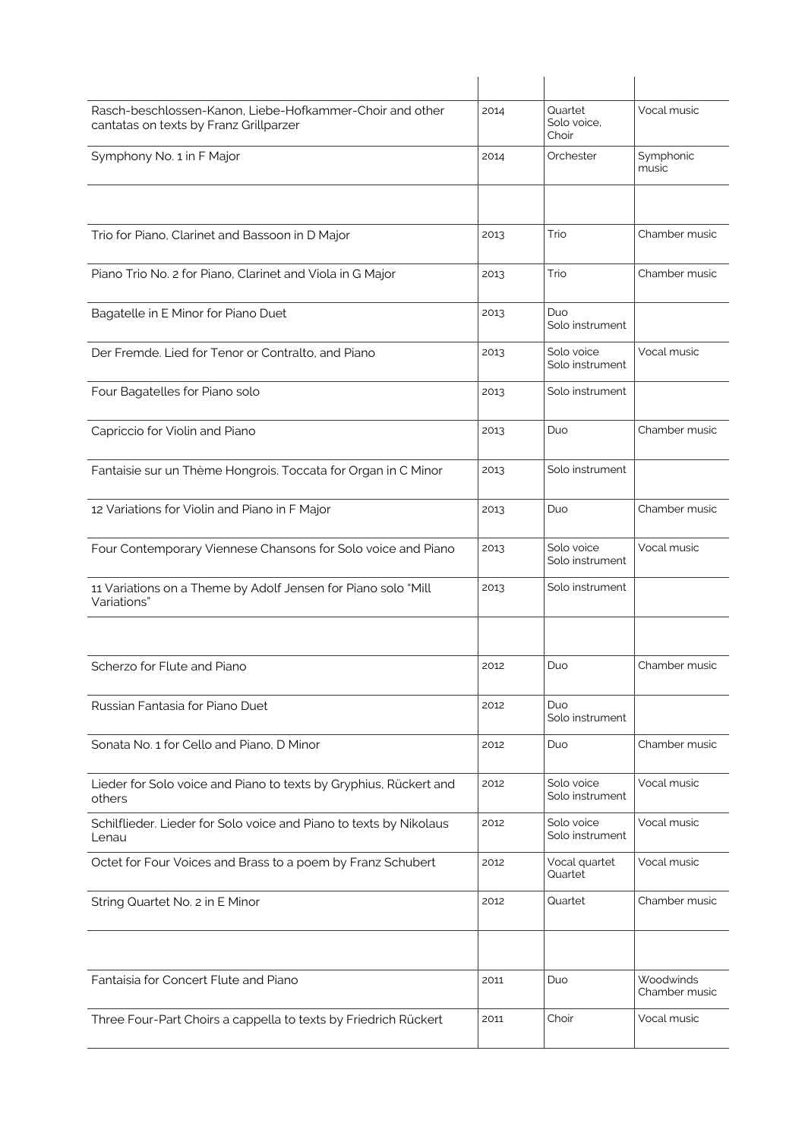| Rasch-beschlossen-Kanon, Liebe-Hofkammer-Choir and other<br>cantatas on texts by Franz Grillparzer | 2014 | Quartet<br>Solo voice,<br>Choir | Vocal music                |
|----------------------------------------------------------------------------------------------------|------|---------------------------------|----------------------------|
| Symphony No. 1 in F Major                                                                          | 2014 | Orchester                       | Symphonic<br>music         |
|                                                                                                    |      |                                 |                            |
| Trio for Piano, Clarinet and Bassoon in D Major                                                    | 2013 | Trio                            | Chamber music              |
| Piano Trio No. 2 for Piano, Clarinet and Viola in G Major                                          | 2013 | Trio                            | Chamber music              |
| Bagatelle in E Minor for Piano Duet                                                                | 2013 | Duo<br>Solo instrument          |                            |
| Der Fremde. Lied for Tenor or Contralto, and Piano                                                 | 2013 | Solo voice<br>Solo instrument   | Vocal music                |
| Four Bagatelles for Piano solo                                                                     | 2013 | Solo instrument                 |                            |
| Capriccio for Violin and Piano                                                                     | 2013 | Duo                             | Chamber music              |
| Fantaisie sur un Thème Hongrois. Toccata for Organ in C Minor                                      | 2013 | Solo instrument                 |                            |
| 12 Variations for Violin and Piano in F Major                                                      | 2013 | Duo                             | Chamber music              |
| Four Contemporary Viennese Chansons for Solo voice and Piano                                       | 2013 | Solo voice<br>Solo instrument   | Vocal music                |
| 11 Variations on a Theme by Adolf Jensen for Piano solo "Mill<br>Variations"                       | 2013 | Solo instrument                 |                            |
|                                                                                                    |      |                                 |                            |
| Scherzo for Flute and Piano                                                                        | 2012 | Duo                             | Chamber music              |
| Russian Fantasia for Piano Duet                                                                    | 2012 | Duo<br>Solo instrument          |                            |
| Sonata No. 1 for Cello and Piano, D Minor                                                          | 2012 | Duo                             | Chamber music              |
| Lieder for Solo voice and Piano to texts by Gryphius, Rückert and<br>others                        | 2012 | Solo voice<br>Solo instrument   | Vocal music                |
| Schilflieder. Lieder for Solo voice and Piano to texts by Nikolaus<br>Lenau                        | 2012 | Solo voice<br>Solo instrument   | Vocal music                |
| Octet for Four Voices and Brass to a poem by Franz Schubert                                        | 2012 | Vocal quartet<br>Quartet        | Vocal music                |
| String Quartet No. 2 in E Minor                                                                    | 2012 | Quartet                         | Chamber music              |
|                                                                                                    |      |                                 |                            |
| Fantaisia for Concert Flute and Piano                                                              | 2011 | Duo                             | Woodwinds<br>Chamber music |
| Three Four-Part Choirs a cappella to texts by Friedrich Rückert                                    | 2011 | Choir                           | Vocal music                |